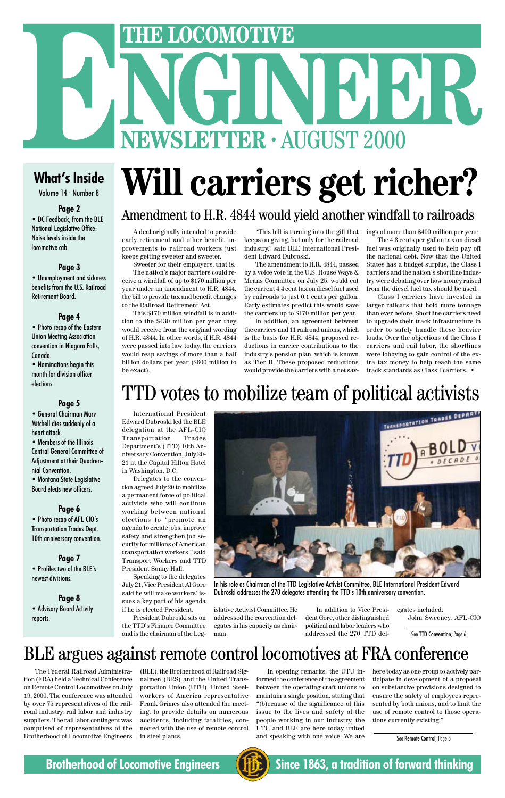# THE LOCOMOTIVE<br>
NGC 100 100 100 **ENEXTRE LOCOMOTIVE**<br> **ENEWSLETTER · AUGUST 2000**<br>
What's Inside **Will carriers of ride**

### **What's Inside**

Volume 14 · Number 8

#### **Page 2**

• DC Feedback, from the BLE National Legislative Office: Noise levels inside the locomotive cab.

#### **Page 3**

• Unemployment and sickness benefits from the U.S. Railroad Retirement Board.

#### **Page 4**

• Photo recap of the Eastern Union Meeting Association convention in Niagara Falls, Canada.

• Nominations begin this month for division officer elections.

#### **Page 5**

• General Chairman Marv Mitchell dies suddenly of a heart attack.

• Members of the Illinois Central General Committee of Adjustment at their Quadrennial Convention.

• Montana State Legislative Board elects new officers.

#### **Page 6**

• Photo recap of AFL-CIO's Transportation Trades Dept. 10th anniversary convention.

### **Page 7**

• Profiles two of the BLE's newest divisions.

**Page 8** • Advisory Board Activity reports.

# **Will carriers get richer?**

A deal originally intended to provide early retirement and other benefit improvements to railroad workers just keeps getting sweeter and sweeter.

Sweeter for their employers, that is. The nation's major carriers could receive a windfall of up to \$170 million per year under an amendment to H.R. 4844, the bill to provide tax and benefit changes to the Railroad Retirement Act.

This \$170 million windfall is in addition to the \$430 million per year they would receive from the original wording of H.R. 4844. In other words, if H.R. 4844 were passed into law today, the carriers would reap savings of more than a half billion dollars per year (\$600 million to be exact).

"This bill is turning into the gift that keeps on giving, but only for the railroad industry," said BLE International President Edward Dubroski.

The amendment to H.R. 4844, passed by a voice vote in the U.S. House Ways & Means Committee on July 25, would cut the current 4.4 cent tax on diesel fuel used by railroads to just 0.1 cents per gallon. Early estimates predict this would save the carriers up to \$170 million per year.

In addition, an agreement between the carriers and 11 railroad unions, which is the basis for H.R. 4844, proposed reductions in carrier contributions to the industry's pension plan, which is known as Tier II. These proposed reductions would provide the carriers with a net savings of more than \$400 million per year.

The 4.3 cents per gallon tax on diesel fuel was originally used to help pay off the national debt. Now that the United States has a budget surplus, the Class I carriers and the nation's shortline industry were debating over how money raised from the diesel fuel tax should be used.

Class I carriers have invested in larger railcars that hold more tonnage than ever before. Shortline carriers need to upgrade their track infrastructure in order to safely handle these heavier loads. Over the objections of the Class I carriers and rail labor, the shortlines were lobbying to gain control of the extra tax money to help reach the same track standards as Class I carriers. •

### Amendment to H.R. 4844 would yield another windfall to railroads

International President Edward Dubroski led the BLE delegation at the AFL-CIO Transportation Trades Department's (TTD) 10th Anniversary Convention, July 20- 21 at the Capital Hilton Hotel in Washington, D.C.

Delegates to the convention agreed July 20 to mobilize a permanent force of political activists who will continue working between national elections to "promote an agenda to create jobs, improve safety and strengthen job security for millions of American transportation workers," said Transport Workers and TTD President Sonny Hall.

Speaking to the delegates July 21, Vice President Al Gore said he will make workers' issues a key part of his agenda if he is elected President. President Dubroski sits on the TTD's Finance Committee and is the chairman of the Leg-

islative Activist Committee. He addressed the convention delegates in his capacity as chairman.

In addition to Vice President Gore, other distinguished political and labor leaders who addressed the 270 TTD delegates included: John Sweeney, AFL-CIO

See TTD Convention, Page 6

### TTD votes to mobilize team of political activists



In his role as Chairman of the TTD Legislative Activist Committee, BLE International President Edward

Dubroski addresses the 270 delegates attending the TTD's 10th anniversary convention.

### BLE argues against remote control locomotives at FRA conference

See Remote Control, Page 8

### **Brotherhood of Locomotive Engineers (HE)** Since 1863, a tradition of forward thinking



The Federal Railroad Administration (FRA) held a Technical Conference on Remote Control Locomotives on July 19, 2000. The conference was attended by over 75 representatives of the railroad industry, rail labor and industry suppliers. The rail labor contingent was comprised of representatives of the Brotherhood of Locomotive Engineers

(BLE), the Brotherhood of Railroad Signalmen (BRS) and the United Transportation Union (UTU). United Steelworkers of America representative Frank Grimes also attended the meeting, to provide details on numerous accidents, including fatalities, connected with the use of remote control in steel plants.

In opening remarks, the UTU informed the conference of the agreement between the operating craft unions to maintain a single position, stating that "(b)ecause of the significance of this issue to the lives and safety of the people working in our industry, the UTU and BLE are here today united and speaking with one voice. We are

here today as one group to actively participate in development of a proposal on substantive provisions designed to ensure the safety of employees represented by both unions, and to limit the use of remote control to those operations currently existing."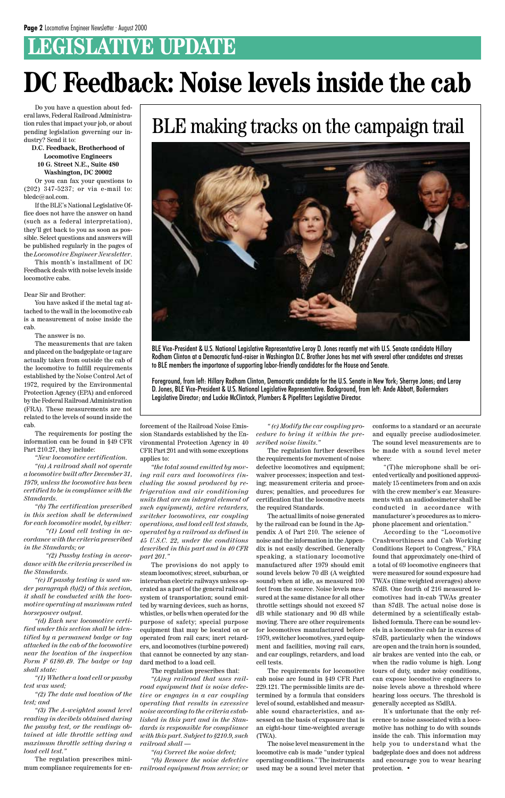### **LEGISLATIVE UPDATE**

Do you have a question about federal laws, Federal Railroad Administration rules that impact your job, or about pending legislation governing our industry? Send it to:

#### **D.C. Feedback, Brotherhood of Locomotive Engineers 10 G. Street N.E., Suite 480 Washington, DC 20002**

Or you can fax your questions to (202) 347-5237; or via e-mail to: bledc@aol.com.

If the BLE's National Legislative Office does not have the answer on hand (such as a federal interpretation), they'll get back to you as soon as possible. Select questions and answers will be published regularly in the pages of the *Locomotive Engineer Newsletter*.

This month's installment of DC Feedback deals with noise levels inside locomotive cabs.

#### Dear Sir and Brother:

You have asked if the metal tag attached to the wall in the locomotive cab is a measurement of noise inside the cab.

The answer is no.

The measurements that are taken and placed on the badgeplate or tag are actually taken from outside the cab of the locomotive to fulfill requirements established by the Noise Control Act of 1972, required by the Environmental Protection Agency (EPA) and enforced by the Federal Railroad Administration (FRA). These measurements are not related to the levels of sound inside the cab.

The requirements for posting the information can be found in §49 CFR Part 210.27, they include:

*"New locomotive certification.*

*"(a) A railroad shall not operate a locomotive built after December 31, 1979, unless the locomotive has been certified to be in compliance with the Standards.*

*"(b) The certification prescribed in this section shall be determined for each locomotive model, by either:*

*"(1) Load cell testing in accordance with the criteria prescribed in the Standards; or*

*"(2) Passby testing in accordance with the criteria prescribed in the Standards.*

*"(c) If passby testing is used under paragraph (b)(2) of this section, it shall be conducted with the locomotive operating at maximum rated horsepower output. "(d) Each new locomotive certified under this section shall be identified by a permanent badge or tag attached in the cab of the locomotive near the location of the inspection Form F 6180.49. The badge or tag shall state:*

*"(1) Whether a load cell or passby test was used;*

*"(2) The date and location of the test; and*

*"(3) The A-weighted sound level reading in decibels obtained during the passby test, or the readings obtained at idle throttle setting and maximum throttle setting during a load cell test."*

The regulation prescribes minimum compliance requirements for enforcement of the Railroad Noise Emission Standards established by the Environmental Protection Agency in 40 CFR Part 201 and with some exceptions applies to:

*"the total sound emitted by moving rail cars and locomotives (including the sound produced by refrigeration and air conditioning units that are an integral element of such equipment), active retarders, switcher locomotives, car coupling operations, and load cell test stands, operated by a railroad as defined in 45 U.S.C. 22, under the conditions described in this part and in 40 CFR part 201."*

The provisions do not apply to steam locomotives; street, suburban, or interurban electric railways unless operated as a part of the general railroad system of transportation; sound emitted by warning devices, such as horns, whistles, or bells when operated for the purpose of safety; special purpose equipment that may be located on or operated from rail cars; inert retarders, and locomotives (turbine powered) that cannot be connected by any standard method to a load cell. The regulation prescribes that: *"(A)ny railroad that uses railroad equipment that is noise defective or engages in a car coupling operating that results in excessive noise according to the criteria established in this part and in the Standards is responsible for compliance with this part. Subject to §210.9, such railroad shall —*

*"(a) Correct the noise defect;*

*"(b) Remove the noise defective railroad equipment from service; or*

*" (c) Modify the car coupling procedure to bring it within the prescribed noise limits."*

The regulation further describes the requirements for movement of noise defective locomotives and equipment; waiver processes; inspection and testing; measurement criteria and procedures; penalties, and procedures for certification that the locomotive meets the required Standards.

The actual limits of noise generated by the railroad can be found in the Appendix A of Part 210. The science of noise and the information in the Appendix is not easily described. Generally speaking, a stationary locomotive manufactured after 1979 should emit sound levels below 70 dB (A weighted sound) when at idle, as measured 100 feet from the source. Noise levels measured at the same distance for all other throttle settings should not exceed 87 dB while stationary and 90 dB while moving. There are other requirements for locomotives manufactured before 1979, switcher locomotives, yard equipment and facilities, moving rail cars, and car couplings, retarders, and load cell tests. The requirements for locomotive cab noise are found in §49 CFR Part 229.121. The permissible limits are determined by a formula that considers level of sound, established and measurable sound characteristics, and assessed on the basis of exposure that is an eight-hour time-weighted average (TWA). The noise level measurement in the locomotive cab is made "under typical operating conditions." The instruments used may be a sound level meter that

conforms to a standard or an accurate and equally precise audiodosimeter. The sound level measurements are to be made with a sound level meter where:

"(T)he microphone shall be oriented vertically and positioned approximately 15 centimeters from and on axis with the crew member's ear. Measurements with an audiodosimeter shall be conducted in accordance with manufacturer's procedures as to microphone placement and orientation."

According to the "Locomotive Crashworthiness and Cab Working Conditions Report to Congress," FRA found that approximately one-third of a total of 69 locomotive engineers that were measured for sound exposure had TWA's (time weighted averages) above 87dB. One fourth of 216 measured locomotives had in-cab TWAs greater than 87dB. The actual noise dose is determined by a scientifically established formula. There can be sound levels in a locomotive cab far in excess of 87dB, particularly when the windows are open and the train horn is sounded, air brakes are vented into the cab, or when the radio volume is high. Long tours of duty, under noisy conditions, can expose locomotive engineers to noise levels above a threshold where hearing loss occurs. The threshold is generally accepted as 85dBA. It's unfortunate that the only reference to noise associated with a locomotive has nothing to do with sounds inside the cab. This information may help you to understand what the badgeplate does and does not address and encourage you to wear hearing protection. •

## **DC Feedback: Noise levels inside the cab**



BLE Vice-President & U.S. National Legislative Representative Leroy D. Jones recently met with U.S. Senate candidate Hillary Rodham Clinton at a Democratic fund-raiser in Washington D.C. Brother Jones has met with several other candidates and stresses to BLE members the importance of supporting labor-friendly candidates for the House and Senate.

Foreground, from left: Hillary Rodham Clinton, Democratic candidate for the U.S. Senate in New York; Sherrye Jones; and Leroy D. Jones, BLE Vice-President & U.S. National Legislative Representative. Background, from left: Ande Abbott, Boilermakers Legislative Director; and Luckie McClintock, Plumbers & Pipefitters Legislative Director.

### BLE making tracks on the campaign trail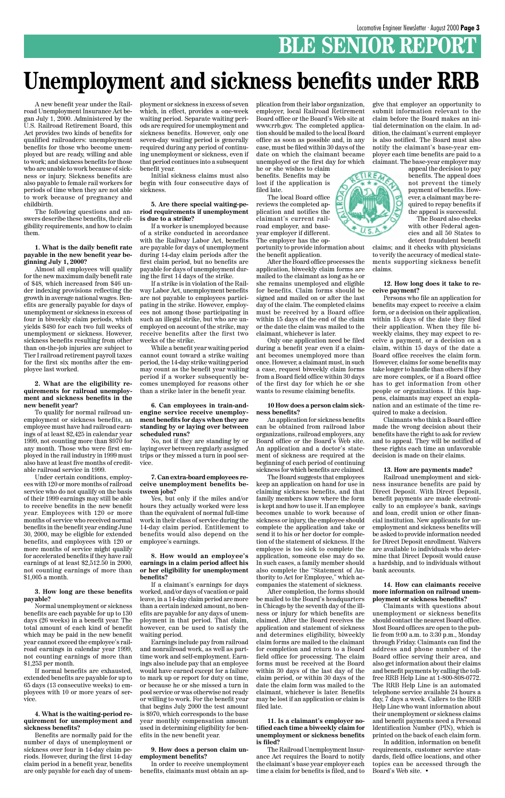### **BLE SENIOR REPORT**

### **Unemployment and sickness benefits under RRB**

A new benefit year under the Railroad Unemployment Insurance Act began July 1, 2000. Administered by the U.S. Railroad Retirement Board, this Act provides two kinds of benefits for qualified railroaders: unemployment benefits for those who become unemployed but are ready, willing and able to work; and sickness benefits for those who are unable to work because of sickness or injury. Sickness benefits are also payable to female rail workers for periods of time when they are not able to work because of pregnancy and childbirth.

The following questions and answers describe these benefits, their eligibility requirements, and how to claim them.

#### **1. What is the daily benefit rate payable in the new benefit year beginning July 1, 2000?**

Almost all employees will qualify for the new maximum daily benefit rate of \$48, which increased from \$46 under indexing provisions reflecting the growth in average national wages. Benefits are generally payable for days of unemployment or sickness in excess of four in biweekly claim periods, which yields \$480 for each two full weeks of unemployment or sickness. However, sickness benefits resulting from other than on-the-job injuries are subject to Tier I railroad retirement payroll taxes for the first six months after the employee last worked.

#### **2. What are the eligibility requirements for railroad unemployment and sickness benefits in the new benefit year?**

To qualify for normal railroad unemployment or sickness benefits, an employee must have had railroad earnings of at least \$2,425 in calendar year 1999, not counting more than \$970 for any month. Those who were first employed in the rail industry in 1999 must also have at least five months of creditable railroad service in 1999.

Under certain conditions, employees with 120 or more months of railroad service who do not qualify on the basis of their 1999 earnings may still be able to receive benefits in the new benefit year. Employees with 120 or more months of service who received normal benefits in the benefit year ending June 30, 2000, may be eligible for extended benefits, and employees with 120 or more months of service might qualify for accelerated benefits if they have rail earnings of at least \$2,512.50 in 2000, not counting earnings of more than \$1,005 a month.

**3. How long are these benefits payable?**

Normal unemployment or sickness benefits are each payable for up to 130 days (26 weeks) in a benefit year. The total amount of each kind of benefit which may be paid in the new benefit year cannot exceed the employee's railroad earnings in calendar year 1999, not counting earnings of more than \$1,253 per month.

If normal benefits are exhausted, extended benefits are payable for up to 65 days (13 consecutive weeks) to employees with 10 or more years of service.

**4. What is the waiting-period requirement for unemployment and sickness benefits?**

Benefits are normally paid for the number of days of unemployment or sickness over four in 14-day claim periods. However, during the first 14-day claim period in a benefit year, benefits are only payable for each day of unemployment or sickness in excess of seven which, in effect, provides a one-week waiting period. Separate waiting periods are required for unemployment and sickness benefits. However, only one seven-day waiting period is generally required during any period of continuing unemployment or sickness, even if that period continues into a subsequent benefit year.

Initial sickness claims must also begin with four consecutive days of sickness.

#### **5. Are there special waiting-period requirements if unemployment is due to a strike?**

If a worker is unemployed because of a strike conducted in accordance with the Railway Labor Act, benefits are payable for days of unemployment during 14-day claim periods after the first claim period, but no benefits are payable for days of unemployment during the first 14 days of the strike.

If a strike is in violation of the Railway Labor Act, unemployment benefits are not payable to employees participating in the strike. However, employees not among those participating in such an illegal strike, but who are unemployed on account of the strike, may receive benefits after the first two weeks of the strike.

While a benefit year waiting period cannot count toward a strike waiting period, the 14-day strike waiting period may count as the benefit year waiting period if a worker subsequently becomes unemployed for reasons other than a strike later in the benefit year.

#### **6. Can employees in train-andengine service receive unemployment benefits for days when they are standing by or laying over between scheduled runs?**

No, not if they are standing by or laying over between regularly assigned trips or they missed a turn in pool service.

#### **7. Can extra-board employees receive unemployment benefits between jobs?**

Yes, but only if the miles and/or hours they actually worked were less than the equivalent of normal full-time work in their class of service during the 14-day claim period. Entitlement to benefits would also depend on the employee's earnings.

#### **8. How would an employee's earnings in a claim period affect his or her eligibility for unemployment benefits?**

If a claimant's earnings for days worked, and/or days of vacation or paid leave, in a 14-day claim period are more than a certain indexed amount, no benefits are payable for any days of unemployment in that period. That claim, however, can be used to satisfy the waiting period. Earnings include pay from railroad and nonrailroad work, as well as parttime work and self-employment. Earnings also include pay that an employee would have earned except for a failure to mark up or report for duty on time, or because he or she missed a turn in pool service or was otherwise not ready or willing to work. For the benefit year that begins July 2000 the test amount is \$970, which corresponds to the base year monthly compensation amount used in determining eligibility for benefits in the new benefit year.

#### **9. How does a person claim unemployment benefits?**

In order to receive unemployment benefits, claimants must obtain an application from their labor organization, employer, local Railroad Retirement Board office or the Board's Web site at www.rrb.gov. The completed application should be mailed to the local Board office as soon as possible and, in any case, must be filed within 30 days of the date on which the claimant became unemployed or the first day for which

he or she wishes to claim benefits. Benefits may be lost if the application is filed late.

The local Board office reviews the completed application and notifies the claimant's current railroad employer, and baseyear employer if different. The employer has the opportunity to provide information about the benefit application.

After the Board office processes the application, biweekly claim forms are mailed to the claimant as long as he or she remains unemployed and eligible for benefits. Claim forms should be signed and mailed on or after the last day of the claim. The completed claims must be received by a Board office within 15 days of the end of the claim or the date the claim was mailed to the claimant, whichever is later.

Only one application need be filed during a benefit year even if a claimant becomes unemployed more than once. However, a claimant must, in such a case, request biweekly claim forms from a Board field office within 30 days of the first day for which he or she wants to resume claiming benefits.

#### **10 How does a person claim sickness benefits?**

An application for sickness benefits can be obtained from railroad labor organizations, railroad employers, any Board office or the Board's Web site. An application and a doctor's statement of sickness are required at the beginning of each period of continuing sickness for which benefits are claimed.

The Board suggests that employees keep an application on hand for use in claiming sickness benefits, and that family members know where the form is kept and how to use it. If an employee becomes unable to work because of sickness or injury, the employee should complete the application and take or send it to his or her doctor for completion of the statement of sickness. If the employee is too sick to complete the application, someone else may do so. In such cases, a family member should also complete the "Statement of Authority to Act for Employee," which accompanies the statement of sickness. After completion, the forms should be mailed to the Board's headquarters in Chicago by the seventh day of the illness or injury for which benefits are claimed. After the Board receives the application and statement of sickness and determines eligibility, biweekly claim forms are mailed to the claimant for completion and return to a Board field office for processing. The claim forms must be received at the Board within 30 days of the last day of the claim period, or within 30 days of the date the claim form was mailed to the claimant, whichever is later. Benefits may be lost if an application or claim is filed late.

**11. Is a claimant's employer notified each time a biweekly claim for unemployment or sickness benefits is filed?**

The Railroad Unemployment Insurance Act requires the Board to notify the claimant's base year employer each time a claim for benefits is filed, and to

give that employer an opportunity to submit information relevant to the claim before the Board makes an initial determination on the claim. In addition, the claimant's current employer is also notified. The Board must also notify the claimant's base-year employer each time benefits are paid to a claimant. The base-year employer may

appeal the decision to pay benefits. The appeal does not prevent the timely payment of benefits. However, a claimant may be required to repay benefits if the appeal is successful.

The Board also checks with other Federal agencies and all 50 States to detect fraudulent benefit

claims; and it checks with physicians to verify the accuracy of medical statements supporting sickness benefit claims.

#### **12. How long does it take to receive payment?**

Persons who file an application for benefits may expect to receive a claim form, or a decision on their application, within 15 days of the date they filed their application. When they file biweekly claims, they may expect to receive a payment, or a decision on a claim, within 15 days of the date a Board office receives the claim form. However, claims for some benefits may take longer to handle than others if they are more complex, or if a Board office has to get information from other people or organizations. If this happens, claimants may expect an explanation and an estimate of the time required to make a decision.

Claimants who think a Board office made the wrong decision about their benefits have the right to ask for review and to appeal. They will be notified of these rights each time an unfavorable decision is made on their claims.

#### **13. How are payments made?**

Railroad unemployment and sickness insurance benefits are paid by Direct Deposit. With Direct Deposit, benefit payments are made electronically to an employee's bank, savings and loan, credit union or other financial institution. New applicants for unemployment and sickness benefits will be asked to provide information needed for Direct Deposit enrollment. Waivers are available to individuals who determine that Direct Deposit would cause a hardship, and to individuals without bank accounts.

**14. How can claimants receive**



**more information on railroad unemployment or sickness benefits?**

Claimants with questions about unemployment or sickness benefits should contact the nearest Board office. Most Board offices are open to the public from 9:00 a.m. to 3:30 p.m., Monday through Friday. Claimants can find the address and phone number of the Board office serving their area, and also get information about their claims and benefit payments by calling the tollfree RRB Help Line at 1-800-808-0772. The RRB Help Line is an automated telephone service available 24 hours a day, 7 days a week. Callers to the RRB Help Line who want information about their unemployment or sickness claims and benefit payments need a Personal Identification Number (PIN), which is printed on the back of each claim form.

In addition, information on benefit requirements, customer service standards, field office locations, and other topics can be accessed through the Board's Web site. •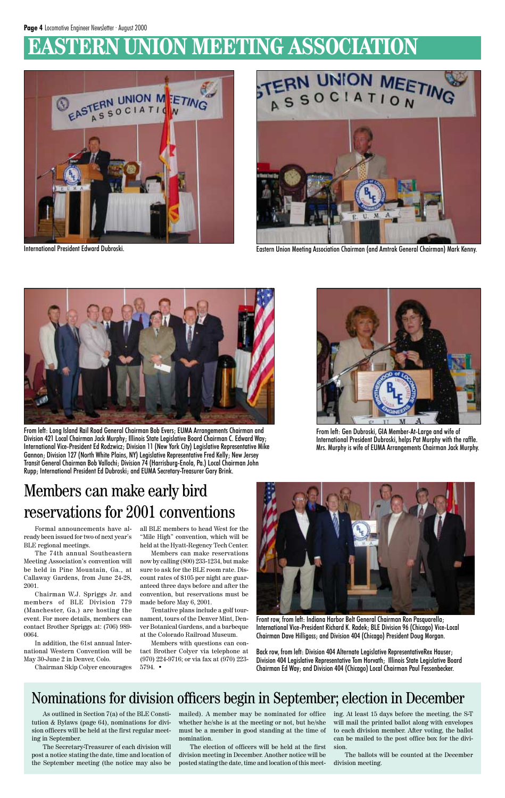### **EASTERN UNION MEETING ASSOCIATION**



### Nominations for division officers begin in September; election in December

As outlined in Section 7(a) of the BLE Constitution & Bylaws (page 64), nominations for division officers will be held at the first regular meeting in September.

The Secretary-Treasurer of each division will post a notice stating the date, time and location of the September meeting (the notice may also be mailed). A member may be nominated for office whether he/she is at the meeting or not, but he/she must be a member in good standing at the time of nomination.

The election of officers will be held at the first division meeting in December. Another notice will be posted stating the date, time and location of this meeting. At least 15 days before the meeting, the S-T will mail the printed ballot along with envelopes to each division member. After voting, the ballot can be mailed to the post office box for the division.

The ballots will be counted at the December division meeting.



International President Edward Dubroski. Eastern Union Meeting Association Chairman (and Amtrak General Chairman) Mark Kenny.



From left: Long Island Rail Road General Chairman Bob Evers; EUMA Arrangements Chairman and Division 421 Local Chairman Jack Murphy; Illinois State Legislative Board Chairman C. Edward Way; International Vice-President Ed Rodzwicz; Division 11 (New York City) Legislative Representative Mike Gannon; Division 127 (North White Plains, NY) Legislative Representative Fred Kelly; New Jersey Transit General Chairman Bob Vallochi; Division 74 (Harrisburg-Enola, Pa.) Local Chairman John Rupp; International President Ed Dubroski; and EUMA Secretary-Treasurer Gary Brink.



From left: Gen Dubroski, GIA Member-At-Large and wife of International President Dubroski, helps Pat Murphy with the raffle. Mrs. Murphy is wife of EUMA Arrangements Chairman Jack Murphy.

Front row, from left: Indiana Harbor Belt General Chairman Ron Pasquarella; International Vice-President Richard K. Radek; BLE Division 96 (Chicago) Vice-Local Chairman Dave Hilligoss; and Division 404 (Chicago) President Doug Morgan.

Back row, from left: Division 404 Alternate Legislative RepresentativeRex Hauser; Division 404 Legislative Representative Tom Horvath; Illinois State Legislative Board Chairman Ed Way; and Division 404 (Chicago) Local Chairman Paul Fessenbecker.

### Members can make early bird reservations for 2001 conventions

Formal announcements have already been issued for two of next year's BLE regional meetings.

The 74th annual Southeastern Meeting Association's convention will be held in Pine Mountain, Ga., at Callaway Gardens, from June 24-28, 2001.

Chairman W.J. Spriggs Jr. and members of BLE Division 779 (Manchester, Ga.) are hosting the event. For more details, members can contact Brother Spriggs at: (706) 989- 0064.

In addition, the 61st annual International Western Convention will be May 30-June 2 in Denver, Colo.

Chairman Skip Colyer encourages

all BLE members to head West for the "Mile High" convention, which will be held at the Hyatt-Regency Tech Center.

Members can make reservations now by calling (800) 233-1234, but make sure to ask for the BLE room rate. Discount rates of \$105 per night are guaranteed three days before and after the convention, but reservations must be made before May 6, 2001.



Tentative plans include a golf tournament, tours of the Denver Mint, Denver Botanical Gardens, and a barbeque at the Colorado Railroad Museum.

Members with questions can contact Brother Colyer via telephone at (970) 224-9716; or via fax at (970) 223- 5794. •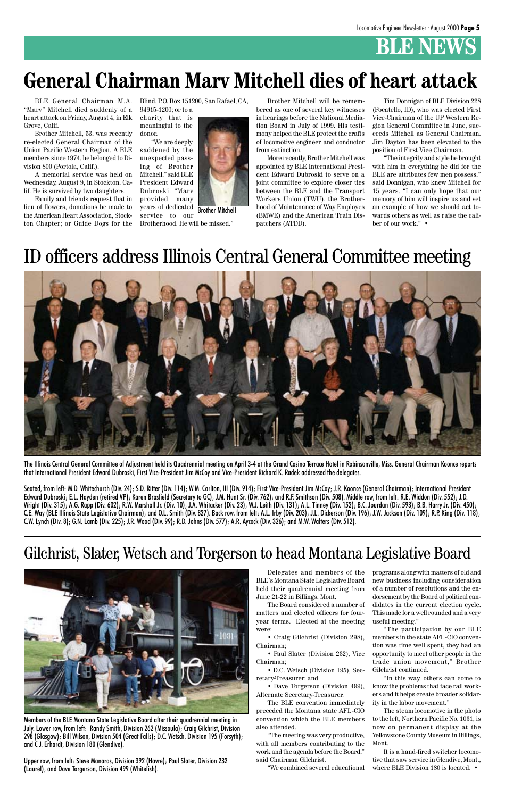### **BLE NEWS**

Members of the BLE Montana State Legislative Board after their quadrennial meeting in July. Lower row, from left: Randy Smith, Division 262 (Missoula); Craig Gilchrist, Division 298 (Glasgow); Bill Wilson, Division 504 (Great Falls); D.C. Wetsch, Division 195 (Forsyth); and C J. Erhardt, Division 180 (Glendive).

Upper row, from left: Steve Manaras, Division 392 (Havre); Paul Slater, Division 232 (Laurel); and Dave Torgerson, Division 499 (Whitefish).

• Dave Torgerson (Division 499), Alternate Secretary-Treasurer.

BLE's Montana State Legislative Board new business including consideration held their quadrennial meeting from June 21-22 in Billings, Mont. The Board considered a number of matters and elected officers for fouryear terms. Elected at the meeting were:

• Craig Gilchrist (Division 298), Chairman;

• Paul Slater (Division 232), Vice Chairman;

• D.C. Wetsch (Division 195), Secretary-Treasurer; and

The BLE convention immediately preceded the Montana state AFL-CIO convention which the BLE members also attended.

"The meeting was very productive, with all members contributing to the work and the agenda before the Board," said Chairman Gilchrist.

"We combined several educational

Delegates and members of the programs along with matters of old and of a number of resolutions and the endorsement by the Board of political candidates in the current election cycle. This made for a well rounded and a very useful meeting." "The participation by our BLE members in the state AFL-CIO convention was time well spent, they had an opportunity to meet other people in the trade union movement," Brother Gilchrist continued. "In this way, others can come to know the problems that face rail workers and it helps create broader solidarity in the labor movement." The steam locomotive in the photo to the left, Northern Pacific No. 1031, is now on permanent display at the Yellowstone County Museum in Billings, Mont.

Seated, from left: M.D. Whitechurch (Div. 24); S.D. Ritter (Div. 114); W.M. Carlton, III (Div. 914); First Vice-President Jim McCoy; J.R. Koonce (General Chairman); International President Edward Dubroski; E.L. Hayden (retired VP); Karen Brasfield (Secretary to GC); J.M. Hunt Sr. (Div. 762); and R.F. Smithson (Div. 508). Middle row, from left: R.E. Widdon (Div. 552); J.D. Wright (Div. 315); A.G. Rapp (Div. 602); R.W. Marshall Jr. (Div. 10); J.A. Whitacker (Div. 23); W.J. Leith (Div. 131); A.L. Tinney (Div. 152); B.C. Jourdan (Div. 593); B.B. Harry Jr. (Div. 450); C.E. Way (BLE Illinois State Legislative Chairman); and O.L. Smith (Div. 827). Back row, from left: A.L. Irby (Div. 203); J.L. Dickerson (Div. 196); J.W. Jackson (Div. 109); R.P. King (Div. 118); C.W. Lynch (Div. 8); G.N. Lamb (Div. 225); J.R. Wood (Div. 99); R.D. Johns (Div. 577); A.R. Aycock (Div. 326); and M.W. Walters (Div. 512).

> It is a hand-fired switcher locomotive that saw service in Glendive, Mont., where BLE Division 180 is located. •

### Gilchrist, Slater, Wetsch and Torgerson to head Montana Legislative Board



The Illinois Central General Committee of Adjustment held its Quadrennial meeting on April 3-4 at the Grand Casino Terrace Hotel in Robinsonville, Miss. General Chairman Koonce reports that International President Edward Dubroski, First Vice-President Jim McCoy and Vice-President Richard K. Radek addressed the delegates.

BLE General Chairman M.A. "Marv" Mitchell died suddenly of a heart attack on Friday, August 4, in Elk Grove, Calif.

Brother Mitchell, 53, was recently re-elected General Chairman of the Union Pacific Western Region. A BLE members since 1974, he belonged to Division 800 (Portola, Calif.).

A memorial service was held on Wednesday, August 9, in Stockton, Calif. He is survived by two daughters.

Family and friends request that in lieu of flowers, donations be made to the American Heart Association, Stockton Chapter; or Guide Dogs for the Blind, P.O. Box 151200, San Rafael, CA, 94915-1200; or to a

charity that is meaningful to the donor.

"We are deeply saddened by the unexpected passing of Brother Mitchell," said BLE President Edward Dubroski. "Marv provided many years of dedicated

Brother Mitchell will be remembered as one of several key witnesses in hearings before the National Mediation Board in July of 1999. His testimony helped the BLE protect the crafts of locomotive engineer and conductor from extinction.

More recently, Brother Mitchell was appointed by BLE International President Edward Dubroski to serve on a joint committee to explore closer ties between the BLE and the Transport Workers Union (TWU), the Brotherhood of Maintenance of Way Employes (BMWE) and the American Train Dispatchers (ATDD).

### ID officers address Illinois Central General Committee meeting



service to our Brotherhood. He will be missed." Brother Mitchell

Tim Donnigan of BLE Division 228 (Pocatello, ID), who was elected First Vice-Chairman of the UP Western Region General Committee in June, succeeds Mitchell as General Chairman. Jim Dayton has been elevated to the position of First Vice Chairman.

"The integrity and style he brought with him in everything he did for the BLE are attributes few men possess," said Donnigan, who knew Mitchell for 15 years. "I can only hope that our memory of him will inspire us and set an example of how we should act towards others as well as raise the caliber of our work." •

### **General Chairman Marv Mitchell dies of heart attack**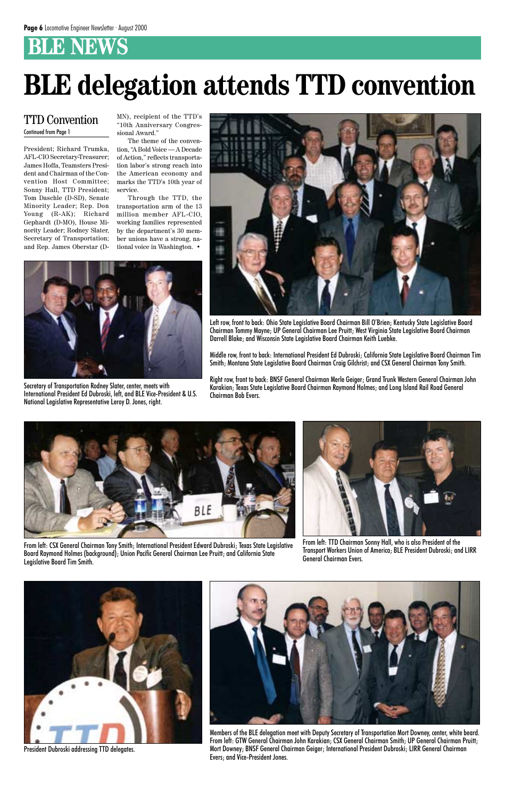### **BLE NEWS**

President; Richard Trumka, AFL-CIO Secretary-Treasurer; James Hoffa, Teamsters President and Chairman of the Convention Host Committee; Sonny Hall, TTD President; Tom Daschle (D-SD), Senate Minority Leader; Rep. Don Young (R-AK); Richard Gephardt (D-MO), House Minority Leader; Rodney Slater, Secretary of Transportation; and Rep. James Oberstar (D-

MN), recipient of the TTD's "10th Anniversary Congressional Award."

The theme of the convention, "A Bold Voice — A Decade of Action," reflects transportation labor's strong reach into the American economy and marks the TTD's 10th year of service.

Through the TTD, the transportation arm of the 13 million member AFL-CIO, working families represented by the department's 30 member unions have a strong, national voice in Washington. •

### TTD Convention Continued from Page 1



From left: CSX General Chairman Tony Smith; International President Edward Dubroski; Texas State Legislative Board Raymond Holmes (background); Union Pacific General Chairman Lee Pruitt; and California State Legislative Board Tim Smith.



Left row, front to back: Ohio State Legislative Board Chairman Bill O'Brien; Kentucky State Legislative Board Chairman Tommy Mayne; UP General Chairman Lee Pruitt; West Virginia State Legislative Board Chairman Darrell Blake; and Wisconsin State Legislative Board Chairman Keith Luebke.

Middle row, front to back: International President Ed Dubroski; California State Legislative Board Chairman Tim Smith; Montana State Legislative Board Chairman Craig Gilchrist; and CSX General Chairman Tony Smith.

Right row, front to back: BNSF General Chairman Merle Geiger; Grand Trunk Western General Chairman John Karakian; Texas State Legislative Board Chairman Raymond Holmes; and Long Island Rail Road General Chairman Bob Evers.



Secretary of Transportation Rodney Slater, center, meets with International President Ed Dubroski, left, and BLE Vice-President & U.S. National Legislative Representative Leroy D. Jones, right.



From left: TTD Chairman Sonny Hall, who is also President of the Transport Workers Union of America; BLE President Dubroski; and LIRR General Chairman Evers.



President Dubroski addressing TTD delegates.



Members of the BLE delegation meet with Deputy Secretary of Transportation Mort Downey, center, white beard. From left: GTW General Chairman John Karakian; CSX General Chairman Smith; UP General Chairman Pruitt; Mort Downey; BNSF General Chairman Geiger; International President Dubroski; LIRR General Chairman Evers; and Vice-President Jones.

# **BLE delegation attends TTD convention**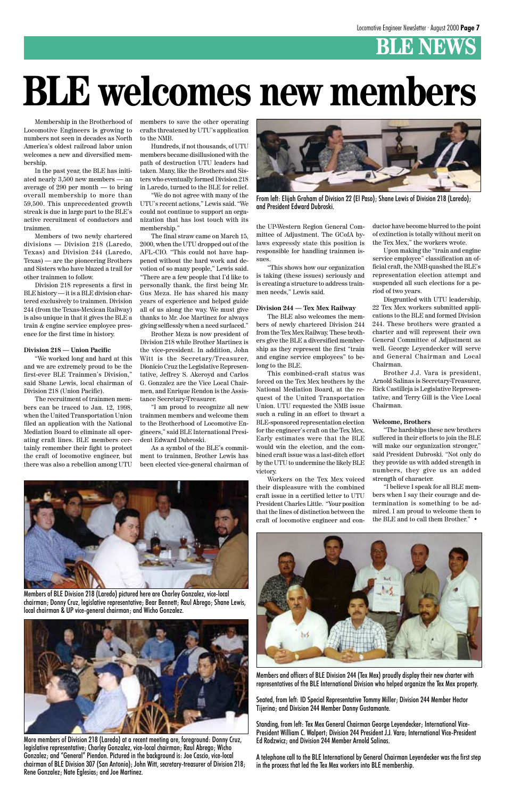### **BLE NEWS**

Membership in the Brotherhood of Locomotive Engineers is growing to numbers not seen in decades as North America's oldest railroad labor union welcomes a new and diversified membership.

In the past year, the BLE has initiated nearly 3,500 new members — an average of 290 per month — to bring overall membership to more than 59,500. This unprecedented growth streak is due in large part to the BLE's active recruitment of conductors and trainmen.

Members of two newly chartered divisions — Division 218 (Laredo, Texas) and Division 244 (Laredo, Texas) — are the pioneering Brothers and Sisters who have blazed a trail for other trainmen to follow.

Division 218 represents a first in BLE history — it is a BLE division chartered exclusively to trainmen. Division 244 (from the Texas-Mexican Railway) is also unique in that it gives the BLE a train & engine service employee presence for the first time in history.

#### **Division 218 — Union Pacific**

"We worked long and hard at this and we are extremely proud to be the first-ever BLE Trainmen's Division," said Shane Lewis, local chairman of Division 218 (Union Pacific).

The recruitment of trainmen members can be traced to Jan. 12, 1998, when the United Transportation Union filed an application with the National Mediation Board to eliminate all operating craft lines. BLE members certainly remember their fight to protect the craft of locomotive engineer, but there was also a rebellion among UTU

members to save the other operating crafts threatened by UTU's application to the NMB.

Hundreds, if not thousands, of UTU members became disillusioned with the path of destruction UTU leaders had taken. Many, like the Brothers and Sisters who eventually formed Division 218 in Laredo, turned to the BLE for relief.

"We do not agree with many of the UTU's recent actions," Lewis said. "We could not continue to support an organization that has lost touch with its membership."

The final straw came on March 15, 2000, when the UTU dropped out of the AFL-CIO. "This could not have happened without the hard work and devotion of so many people," Lewis said. "There are a few people that I'd like to personally thank, the first being Mr. Gus Meza. He has shared his many years of experience and helped guide all of us along the way. We must give thanks to Mr. Joe Martinez for always giving selflessly when a need surfaced."

Brother Meza is now president of Division 218 while Brother Martinez is the vice-president. In addition, John Witt is the Secretary/Treasurer, Dionicio Cruz the Legislative Representative, Jeffrey S. Akeroyd and Carlos G. Gonzalez are the Vice Local Chairmen, and Enrique Rendon is the Assistance Secretary-Treasurer.

"I am proud to recognize all new trainmen members and welcome them to the Brotherhood of Locomotive Engineers," said BLE International President Edward Dubroski.

As a symbol of the BLE's commitment to trainmen, Brother Lewis has been elected vice-general chairman of the UP-Western Region General Committee of Adjustment. The GCofA bylaws expressly state this position is responsible for handling trainmen issues.

"This shows how our organization is taking (these issues) seriously and is creating a structure to address trainmen needs," Lewis said.

#### **Division 244 — Tex Mex Railway**

The BLE also welcomes the members of newly chartered Division 244 from the Tex Mex Railway. These brothers give the BLE a diversified membership as they represent the first "train and engine service employees" to belong to the BLE.

This combined-craft status was forced on the Tex Mex brothers by the National Mediation Board, at the request of the United Transportation Union. UTU requested the NMB issue such a ruling in an effort to thwart a BLE-sponsored representation election for the engineer's craft on the Tex Mex. Early estimates were that the BLE would win the election, and the combined craft issue was a last-ditch effort by the UTU to undermine the likely BLE victory.

Workers on the Tex Mex voiced their displeasure with the combined craft issue in a certified letter to UTU President Charles Little. "Your position that the lines of distinction between the craft of locomotive engineer and con-



From left: Elijah Graham of Division 22 (El Paso); Shane Lewis of Division 218 (Laredo); and President Edward Dubroski.

ductor have become blurred to the point of extinction is totally without merit on the Tex Mex," the workers wrote.

Upon making the "train and engine service employee" classification an official craft, the NMB quashed the BLE's representation election attempt and suspended all such elections for a period of two years.

Disgruntled with UTU leadership, 22 Tex Mex workers submitted applications to the BLE and formed Division 244. These brothers were granted a charter and will represent their own General Committee of Adjustment as well. George Leyendecker will serve and General Chairman and Local Chairman.

Brother J.J. Vara is president, Arnold Salinas is Secretary-Treasurer, Rick Castilleja is Legislative Representative, and Terry Gill is the Vice Local Chairman.

#### **Welcome, Brothers**

"The hardships these new brothers suffered in their efforts to join the BLE will make our organization stronger," said President Dubroski. "Not only do they provide us with added strength in numbers, they give us an added strength of character.

"I believe I speak for all BLE members when I say their courage and determination is something to be admired. I am proud to welcome them to the BLE and to call them Brother." •





Members of BLE Division 218 (Laredo) pictured here are Charley Gonzalez, vice-local chairman; Donny Cruz, legislative representative; Bear Bennett; Raul Abrego; Shane Lewis, local chairman & UP vice-general chairman; and Wicho Gonzalez.



More members of Division 218 (Laredo) at a recent meeting are, foreground: Donny Cruz, legislative representative; Charley Gonzalez, vice-local chairman; Raul Abrego; Wicho Gonzalez; and "General" Piendon. Pictured in the background is: Joe Cascio, vice-local chairman of BLE Division 307 (San Antonio); John Witt, secretary-treasurer of Division 218; Rene Gonzalez; Nate Eglesias; and Joe Martinez.

Members and officers of BLE Division 244 (Tex Mex) proudly display their new charter with representatives of the BLE International Division who helped organize the Tex Mex property.

Seated, from left: ID Special Representative Tommy Miller; Division 244 Member Hector Tijerina; and Division 244 Member Danny Gustamante.

Standing, from left: Tex Mex General Chairman George Leyendecker; International Vice-President William C. Walpert; Division 244 President J.J. Vara; International Vice-President Ed Rodzwicz; and Division 244 Member Arnold Salinas.

A telephone call to the BLE International by General Chairman Leyendecker was the first step in the process that led the Tex Mex workers into BLE membership.

# **BLE welcomes new members**